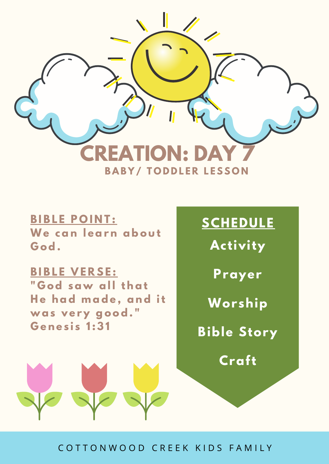

## **BIBLE POINT:**

**We can l ear n abo u t G od.**

## **B I B L E V E R S E :**

**" G od sa w al l t hat H e had m ade , and it w as v e r y go od. " G e n e s i s 1 : 3 1**

# **SCHEDULE**

**Activity**

**Prayer**

**Worship**

**Bible Story**

**Craft**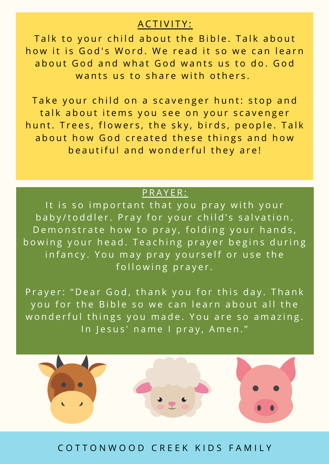#### A C T I V I T Y :

Talk to your child about the Bible. Talk about how it is God's Word. We read it so we can learn about God and what God wants us to do. God wants us to share with others.

Take your child on a scavenger hunt: stop and talk about items you see on your scavenger hunt. Trees, flowers, the sky, birds, people. Talk about how God created these things and how beautiful and wonderful they are!

#### PRAYER:

It is so important that you pray with your baby/toddler. Pray for your child's salvation. Demonstrate how to pray, folding your hands, bowing your head. Teaching prayer begins during infancy. You may pray yourself or use the following prayer.

Prayer: "Dear God, thank you for this day. Thank you for the Bible so we can learn about all the wonderful things you made. You are so amazing. In Jesus' name I pray, Amen."

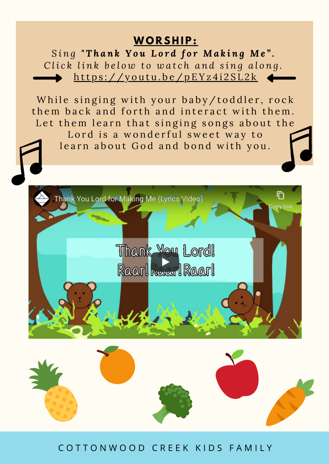# $WORSHIP:$

Sing "Thank You Lord for Making Me". Click link below to watch and sing along. https://youtu.be/pEYz4i2SL2k

While singing with your baby/toddler, rock them back and forth and interact with them. Let them learn that singing songs about the Lord is a wonderful sweet way to learn about God and bond with you.



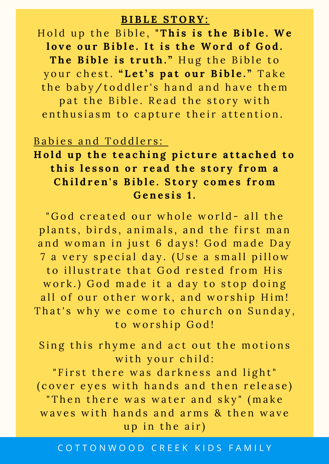#### **B I B L E S T O R Y :**

Hold up the Bible, "This is the Bible. We love our Bible. It is the Word of God. **T h e B i b l e i s t r u t h . "** H u g t h e B i b l e t o y o u r c h e s t. **" L e t ' s p a t o u r B i b l e . "** T a k e the baby/toddler's hand and have them pat the Bible. Read the story with enthusiasm to capture their attention.

#### Babies and Toddlers:

# Hold up the teaching picture attached to this lesson or read the story from a Children's Bible. Story comes from **G e n e s i s 1 .**

"God created our whole world- all the plants, birds, animals, and the first man and woman in just 6 days! God made Day 7 a very special day. (Use a small pillow to illustrate that God rested from His work.) God made it a day to stop doing all of our other work, and worship Him! That's why we come to church on Sunday, to worship God!

Sing this rhyme and act out the motions with your child:

"First there was darkness and light" ( cover eyes with hands and then release) " Then there was water and sky" (make waves with hands and arms & then wave up in the air)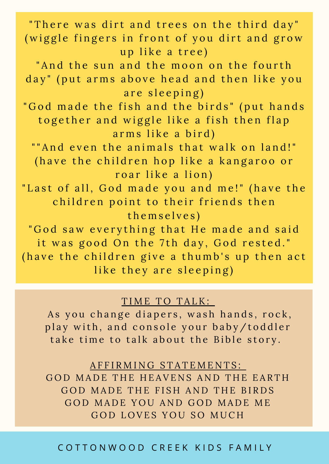"There was dirt and trees on the third day" (wiggle fingers in front of you dirt and grow up like a tree) " And the sun and the moon on the fourth day" (put arms above head and then like you are sleeping) "God made the fish and the birds" (put hands together and wiggle like a fish then flap arms like a bird) "" And even the animals that walk on land!" (have the children hop like a kangaroo or roar like a lion) " Last of all, God made you and me!" (have the children point to their friends then themselves) "God saw everything that He made and said it was good On the 7th day, God rested." (have the children give a thumb's up then act like they are sleeping)

#### TIME TO TALK:

As you change diapers, wash hands, rock, play with, and console your baby/toddler take time to talk about the Bible story.

A F F I R M I N G S T A T E M E N T S :

GOD MADE THE HEAVENS AND THE EARTH GOD MADE THE FISH AND THE BIRDS GOD MADE YOU AND GOD MADE ME GOD LOVES YOU SO MUCH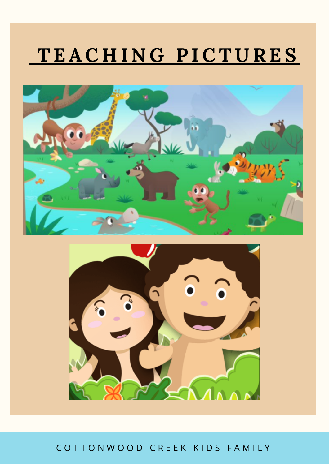# **T E AC H I N G P ICT U RE S**